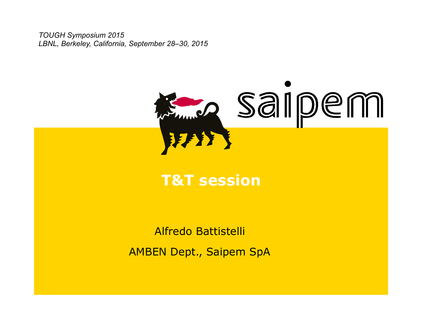*TOUGH Symposium 2015 LBNL, Berkeley, California, September 28–30, 2015* 



## **T&T session**

Alfredo Battistelli AMBEN Dept., Saipem SpA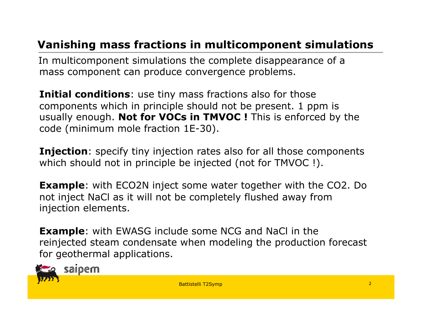## **Vanishing mass fractions in multicomponent simulations**

 In multicomponent simulations the complete disappearance of a mass component can produce convergence problems.

**Initial conditions**: use tiny mass fractions also for those components which in principle should not be present. 1 ppm is usually enough. **Not for VOCs in TMVOC !** This is enforced by the code (minimum mole fraction 1E-30).

**Injection**: specify tiny injection rates also for all those components which should not in principle be injected (not for TMVOC !).

**Example**: with ECO2N inject some water together with the CO2. Do not inject NaCl as it will not be completely flushed away from injection elements.

**Example:** with EWASG include some NCG and NaCl in the reinjected steam condensate when modeling the production forecast for geothermal applications.



saipem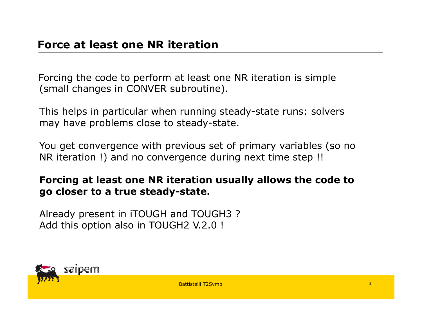Forcing the code to perform at least one NR iteration is simple (small changes in CONVER subroutine).

This helps in particular when running steady-state runs: solvers may have problems close to steady-state.

You get convergence with previous set of primary variables (so no NR iteration !) and no convergence during next time step !!

#### **Forcing at least one NR iteration usually allows the code to go closer to a true steady-state.**

Already present in iTOUGH and TOUGH3 ? Add this option also in TOUGH2 V.2.0 !

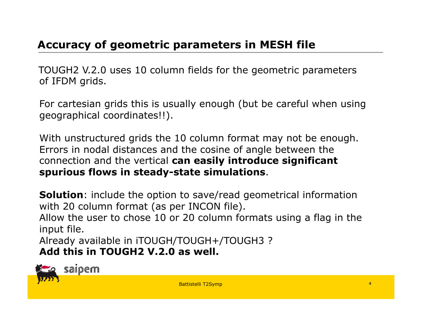## **Accuracy of geometric parameters in MESH file**

 TOUGH2 V.2.0 uses 10 column fields for the geometric parameters of IFDM grids.

For cartesian grids this is usually enough (but be careful when using geographical coordinates!!).

With unstructured grids the 10 column format may not be enough. Errors in nodal distances and the cosine of angle between the connection and the vertical **can easily introduce significant spurious flows in steady-state simulations**.

**Solution**: include the option to save/read geometrical information with 20 column format (as per INCON file).

Allow the user to chose 10 or 20 column formats using a flag in the input file.

Already available in iTOUGH/TOUGH+/TOUGH3 ? **Add this in TOUGH2 V.2.0 as well.** 



saipem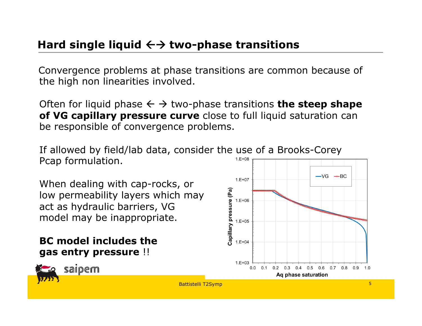Convergence problems at phase transitions are common because of the high non linearities involved.

Often for liquid phase  $\leftarrow \rightarrow$  two-phase transitions **the steep shape of VG capillary pressure curve** close to full liquid saturation can be responsible of convergence problems.

If allowed by field/lab data, consider the use of a Brooks-Corey Pcap formulation.  $1.E+08$ 

When dealing with cap-rocks, or low permeability layers which may act as hydraulic barriers, VG model may be inappropriate.

#### **BC model includes the gas entry pressure** !!



saipem

 $-VG \rightarrow BC$  $1.E+07$ Capillary pressure (Pa)  $1.E+06$  $1.E+05$  $1.E + 04$  $1.E + 03$ 0.0 0.1 0.2 0.3 0.4 0.5 0.6 0.7 0.8 0.9 1.0 Ag phase saturation Battistelli T2Symp 2012 5 2012 5 2012 5 2012 5 2012 5 2012 5 2012 5 2012 5 2012 5 2012 5 2012 5 2012 5 2012 5 2012 5 2012 5 2012 5 2012 5 2012 5 2012 5 2012 5 2012 5 2012 5 2012 5 2012 5 2012 5 2012 5 2012 5 2012 5 2012 5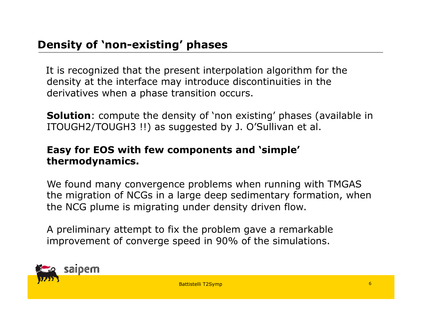It is recognized that the present interpolation algorithm for the density at the interface may introduce discontinuities in the derivatives when a phase transition occurs.

**Solution**: compute the density of 'non existing' phases (available in ITOUGH2/TOUGH3 !!) as suggested by J. O'Sullivan et al.

#### **Easy for EOS with few components and 'simple' thermodynamics.**

We found many convergence problems when running with TMGAS the migration of NCGs in a large deep sedimentary formation, when the NCG plume is migrating under density driven flow.

A preliminary attempt to fix the problem gave a remarkable improvement of converge speed in 90% of the simulations.



Battistelli T2Symp 2012 12:00 12:00 12:00 12:00 12:00 12:00 12:00 12:00 12:00 12:00 12:00 12:00 12:00 12:00 12:00 12:00 12:00 12:00 12:00 12:00 12:00 12:00 12:00 12:00 12:00 12:00 12:00 12:00 12:00 12:00 12:00 12:00 12:00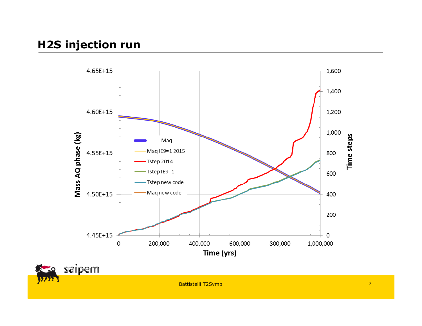## **H2S injection run**



Battistelli T2Symp 2012 7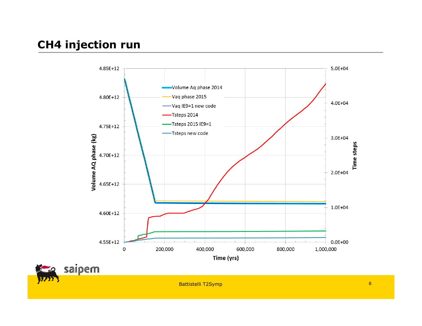## **CH4 injection run**



Battistelli T2Symp 2012 8 2012 8 2012 8 2012 8 2012 8 2012 8 2012 8 2012 8 2012 8 2012 8 2012 8 2012 8 2012 8 2012 8 2012 8 2012 8 2012 8 2012 8 2012 8 2012 8 2012 8 2012 8 2012 8 2012 8 2012 8 2012 8 2012 8 2012 8 2012 8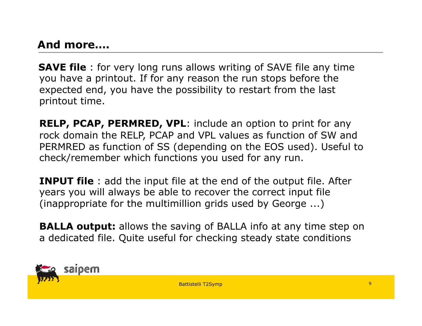### **And more….**

 **SAVE file** : for very long runs allows writing of SAVE file any time you have a printout. If for any reason the run stops before the expected end, you have the possibility to restart from the last printout time.

**RELP, PCAP, PERMRED, VPL**: include an option to print for any rock domain the RELP, PCAP and VPL values as function of SW and PERMRED as function of SS (depending on the EOS used). Useful to check/remember which functions you used for any run.

**INPUT file** : add the input file at the end of the output file. After years you will always be able to recover the correct input file (inappropriate for the multimillion grids used by George ...)

**BALLA output:** allows the saving of BALLA info at any time step on a dedicated file. Quite useful for checking steady state conditions